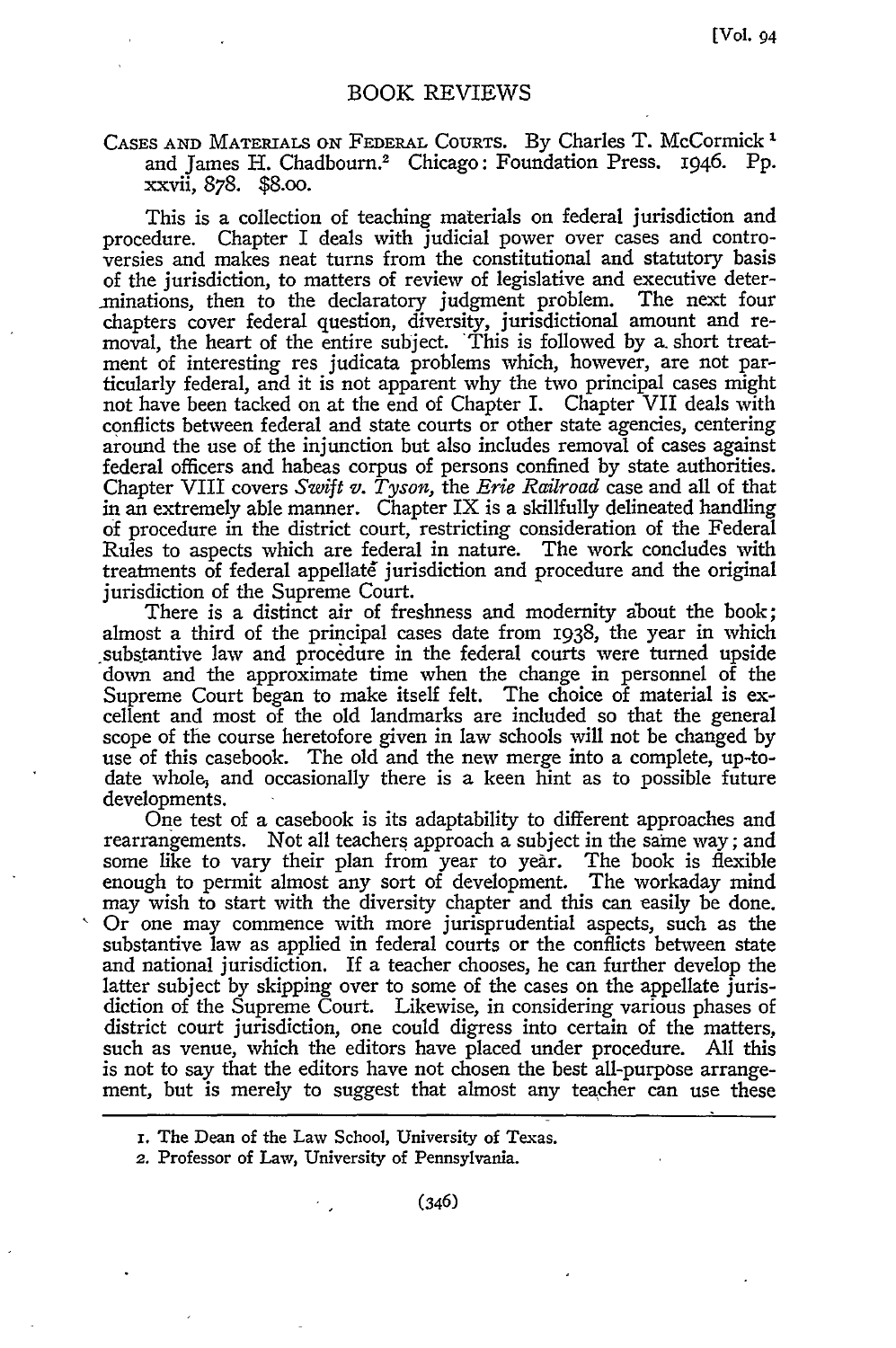**CASES AND** MATERIALS **ON** FEDERAL COURTS. By Charles T. McCormick' and James H. Chadbourn.2 Chicago: Foundation Press. 1946. Pp. xxvii, 878. **\$8.00.**

This is a collection of teaching materials on federal jurisdiction and procedure. Chapter I deals with judicial power over cases and controversies and makes neat turns from the constitutional and statutory basis **of** the jurisdiction, to matters of review of legislative and executive deter- .minations, then to the declaratory judgment problem. The next four chapters cover federal question, diversity, jurisdictional amount and removal, the heart of the entire subject. 'This is followed **by** a. short treatment of interesting res judicata problems which, however, are not particularly federal, and it is not apparent why the two principal cases might not have been tacked on at the end of Chapter I. Chapter VII deals with conflicts between federal and state courts or other state agencies, centering around the use of the injunction but also includes removal of cases against federal officers and habeas corpus of persons confined **by** state authorities. Chapter VIII covers *Swift v'. Tyson,* the *Erie Railroad* case and all of that in an extremely able manner. Chapter IX is a skillfully delineated handling **of** procedure in the district court, restricting consideration of the Federal Rules to aspects which are federal in nature. The work concludes with treatments of federal appellat6 jurisdiction and procedure and the original jurisdiction of the Supreme Court.

There is a distinct air of freshness and modernity about the book; almost a third of the principal cases date from 1938, the year in which substantive law and procedure in the federal courts were turned upside down and the approximate time when the change in personnel of the Supreme Court began to make itself felt. The choice of material is excellent and most of the old landmarks are included so that the general scope of the course heretofore given in law schools will not be changed by use of this casebook. The old and the new merge into a complete, up-todate whole, and occasionally there is a keen hint as to possible future developments.

One test of a casebook is its adaptability to different approaches and rearrangements. Not all teachers approach a subject in the same way; and some like to vary their plan from year to year. The book is flexible enough to permit almost any sort of development. The workaday mind may wish to start with the diversity chapter and this can easily be done. Or one may commence with more jurisprudential aspects, such as the substantive law as applied in federal courts or the conflicts between state and national jurisdiction. If a teacher chooses, he can further develop the latter subject by skipping over to some of the cases on the appellate jurisdiction of the Supreme Court. Likewise, in considering various phases of district court jurisdiction, one could digress into certain of the matters, such as venue, which the editors have placed under procedure. All this is not to say that the editors have not chosen the best all-purpose arrangement, but is merely to suggest that almost any teacher can use these

**2.** Professor of Law, University of Pennsylvania.

**i.** The Dean of the Law School, University of Texas.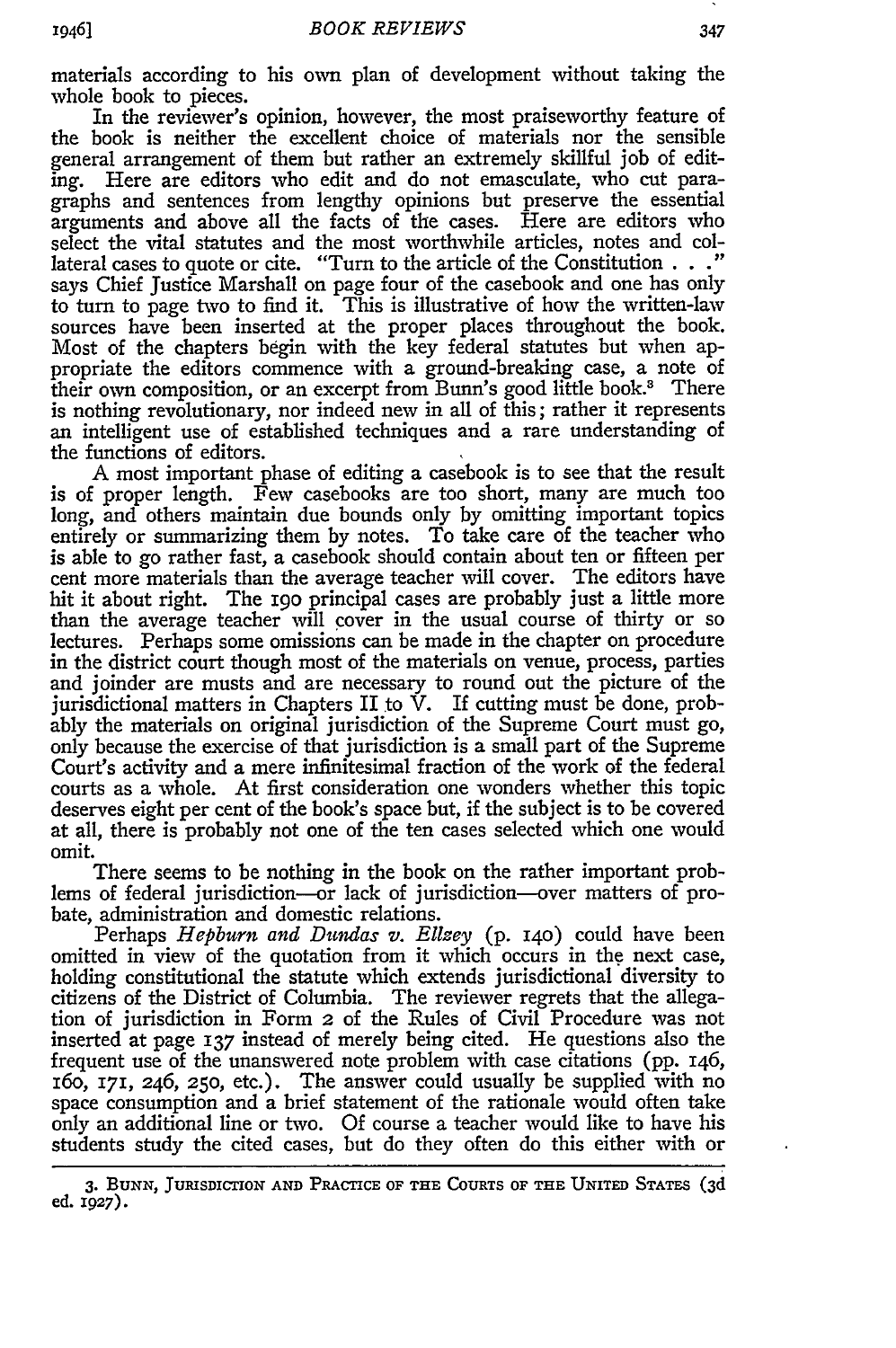materials according to his own plan of development without taking the whole book to pieces.

In the reviewer's opinion, however, the most praiseworthy feature of the book is neither the excellent choice of materials nor the sensible general arrangement of them but rather an extremely skillful job of editing. Here are editors who edit and do not emasculate, who cut paragraphs and sentences from lengthy opinions but preserve the essential arguments and above all the facts of the cases. Here are editors who select the vital statutes and the most worthwhile articles, notes and collateral cases to quote or cite. "Turn to the article of the Constitution **. .. "** says Chief Justice Marshall on page four of the casebook and one has only to turn to page two to find it. This is illustrative of how the written-law sources have been inserted at the proper places throughout the book. Most of the chapters begin with the key federal statutes but when appropriate the editors commence with a ground-breaking case, a note of their own composition, or an excerpt from Bunn's good little book.<sup>8</sup> There is nothing revolutionary, nor indeed new in all of this; rather it represents an intelligent use of established techniques and a rare understanding of the functions of editors.

**A** most important phase of editing a casebook is to see that the result is of proper length. Few casebooks are too short, many are much too long, and others maintain due bounds only by omitting important topics entirely or summarizing them by notes. To take care of the teacher who is able to go rather fast, a casebook should contain about ten or fifteen per cent more materials than the average teacher will cover. The editors have hit it about right. The 19o principal cases are probably just a little more than the average teacher will cover in the usual course of thirty or so lectures. Perhaps some omissions can be made in the chapter on procedure in the district court though most of the materials on venue, process, parties and joinder are musts and are necessary to round out the picture of the jurisdictional matters in Chapters II to V. If cutting must be done, probably the materials on original jurisdiction of the Supreme Court must go, only because the exercise of that jurisdiction is a small part of the Supreme Court's activity and a mere infinitesimal fraction of the work of the federal courts as a whole. At first consideration one wonders whether this topic deserves eight per cent of the book's space but, if the subject is to be covered at all, there is probably not one of the ten cases selected which one would omit.

There seems to be nothing in the book on the rather important problems of federal jurisdiction-or lack of jurisdiction-over matters of probate, administration and domestic relations.

Perhaps *Hepburn and Dundas v. ElIzey* (p. **14o)** could have been omitted in view of the quotation from it which occurs in the next case, holding constitutional the statute which extends jurisdictional diversity to citizens of the District of Columbia. The reviewer regrets that the allegation of jurisdiction in Form 2 of the Rules of Civil Procedure was not inserted at page **137** instead of merely being cited. He questions also the frequent use of the unanswered note problem with case citations (pp. 146, i6o, **171,** *246,* **25o,** etc.). The answer could usually be supplied with no space consumption and a brief statement of the rationale would often take only an additional line or two. Of course a teacher would like to have his students study the cited cases, but do they often do this either with or

**<sup>3.</sup> BUNN, JURISDIcTION AND PRACTIcE** OF **THE COURTS OF THE UNIrz) STATES (3d** ed. **1927).**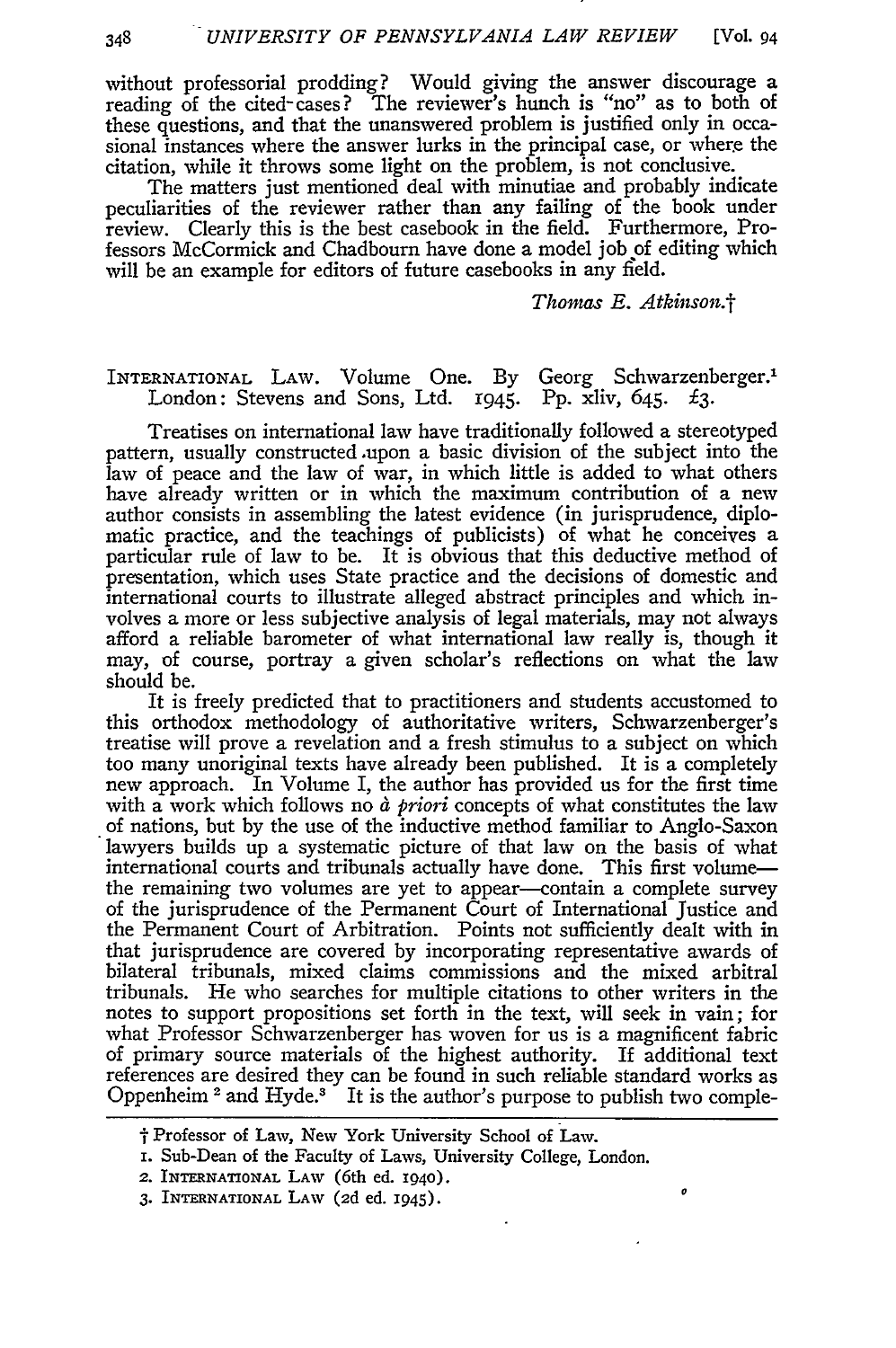without professorial prodding? Would giving the answer discourage a reading of the cited-cases? The reviewer's hunch is "no" as to both of these questions, and that the unanswered problem is justified only in occasional instances where the answer lurks in the principal case, or where the citation, while it throws some light on the problem, is not conclusive.

The matters just mentioned deal with minutiae and probably indicate peculiarities of the reviewer rather than any failing of the book under review. Clearly this is the best casebook in the field. Furthermore, Professors McCormick and Chadbourn have done a model job of editing which will be an example for editors of future casebooks in any field.

*Thomas E. Atkinson.t*

## INTERNATIONAL LAW. Volume One. **By** Georg Schwarzenberger.1 London: Stevens and Sons, Ltd. 1945. Pp. xliv, 645.  $\dot{\mathcal{L}}$ 3.

Treatises on international law have traditionally followed a stereotyped pattern, usually constructed .upon a basic division of the subject into the law of peace and the law of war, in which little is added to what others have already written or in which the maximum contribution of a new author consists in assembling the latest evidence (in jurisprudence, diplomatic practice, and the teachings of publicists) of what he conceives a particular rule of law to be. It is obvious that this deductive method of presentation, which uses State practice and the decisions of domestic and international courts to illustrate alleged abstract principles and which involves a more or less subjective analysis of legal materials, may not always afford a reliable barometer of what international law really is, though it may, of course, portray a given scholar's reflections on what the law should be.

It is freely predicted that to practitioners and students accustomed to this orthodox methodology of authoritative writers, Schwarzenberger's treatise will prove a revelation and a fresh stimulus to a subject on which too many unoriginal texts have already been published. It is a completely new approach. In Volume I, the author has provided us for the first time with a work which follows no *a priori* concepts of what constitutes the law of nations, but **by** the use of the inductive method familiar to Anglo-Saxon lawyers builds up a systematic picture of that law on the basis of what international courts and tribunals actually have done. This first volume the remaining two volumes are yet to appear-contain a complete survey of the jurisprudence of the Permanent Court of International Justice and the Permanent Court of Arbitration. Points not sufficiently dealt with in that jurisprudence are covered **by** incorporating representative awards of bilateral tribunals, mixed claims commissions and the mixed arbitral tribunals. He who searches for multiple citations to other writers in the notes to support propositions set forth in the text, will seek in vain; for what Professor Schwarzenberger has woven for us is a magnificent fabric of primary source materials of the highest authority. If additional text references are desired they can be found in such reliable standard works as Oppenheim<sup>2</sup> and Hyde.<sup>8</sup> It is the author's purpose to publish two comple-

**I** Professor of Law, New York University School of Law.

**I.** Sub-Dean of the Faculty of Laws, University College, London.

**<sup>2.</sup>** INTERNATIONAL LAW (6th ed. **194o).**

**<sup>3.</sup>** INTFRNATIONAL LAW *(2d* ed. 1945).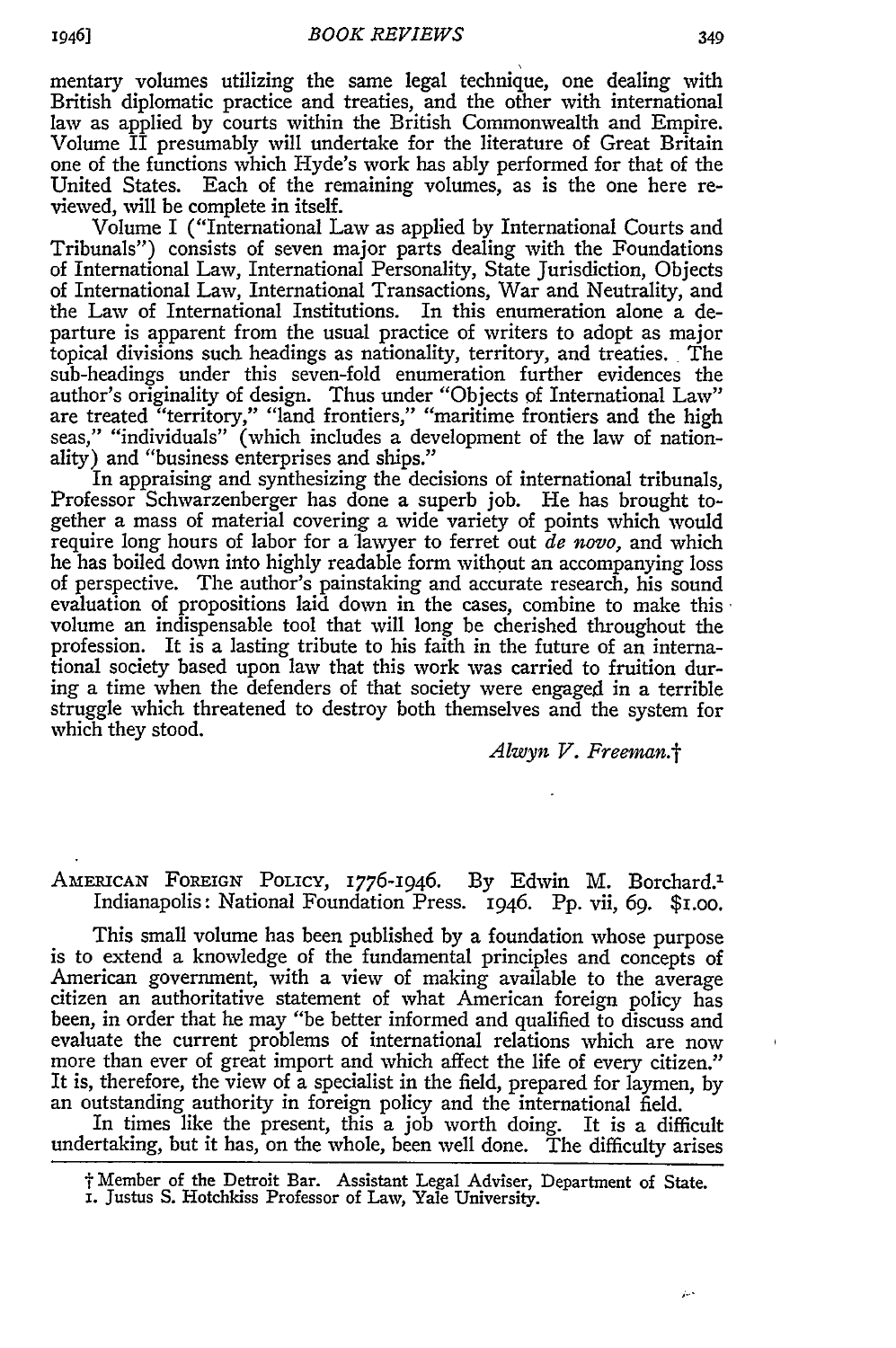mentary volumes utilizing the same legal technique, one dealing with British diplomatic practice and treaties, and the other with international law as applied by courts within the British Commonwealth and Empire. Volume II presumably will undertake for the literature of Great Britain one of the functions which Hyde's work has ably performed for that of the United States. Each of the remaining volumes, as is the one here reviewed, will be complete in itself.

Volume I ("International Law as applied by International Courts and Tribunals") consists of seven major parts dealing with the Foundations of International Law, International Personality, State Jurisdiction, Objects of International Law, International Transactions, War and Neutrality, and the Law of International Institutions. In this enumeration alone a departure is apparent from the usual practice of writers to adopt as major topical divisions such headings as nationality, territory, and treaties. The sub-headings under this seven-fold enumeration further evidences the author's originality of design. Thus under "Objects of International Law" are treated "territory," "land frontiers," "maritime frontiers and the high seas," "individuals" (which includes a development of the law of nationality) and "business enterprises and ships."

In appraising and synthesizing the decisions of international tribunals, Professor Schwarzenberger has done a superb job. He has brought together a mass of material covering a wide variety of points which would require long hours of labor for a lawyer to ferret out *de* novo, and which he has boiled down into highly readable form without an accompanying loss of perspective. The author's painstaking and accurate research, his sound evaluation of propositions laid down in the cases, combine to make this volume an indispensable tool that will long be cherished throughout the profession. It is a lasting tribute to his faith in the future of an international society based upon law that this work was carried to fruition during a time when the defenders of that society were engaged in a terrible struggle which threatened to destroy both themselves and the system for which they stood.

*Alwyn V. Freeman.t*

حبار

AMERICAN FOREIGN POLICY, 1776-1946. By Edwin M. Borchard.<sup>1</sup> Indianapolis: National Foundation Press. 1946. **Pp.** vii, *69.* \$I.OO.

This small volume has been published **by** a foundation whose purpose is to extend a knowledge of the fundamental principles and concepts of American government, with a view of making available to the average citizen an authoritative statement of what American foreign policy has been, in order that he may "be better informed and qualified to discuss and evaluate the current problems of international relations which are now more than ever of great import and which affect the life of every citizen." It is, therefore, the view of a specialist in the field, prepared for laymen, **by** an outstanding authority in foreign policy and the international field.

In times like the present, this a job worth doing. It is a difficult undertaking, but it has, on the whole, been well done. The difficulty arises

**<sup>&</sup>quot;** Member of the Detroit Bar. Assistant Legal Adviser, Department of State. i. Justus S. Hotchkiss Professor of Law, Yale University.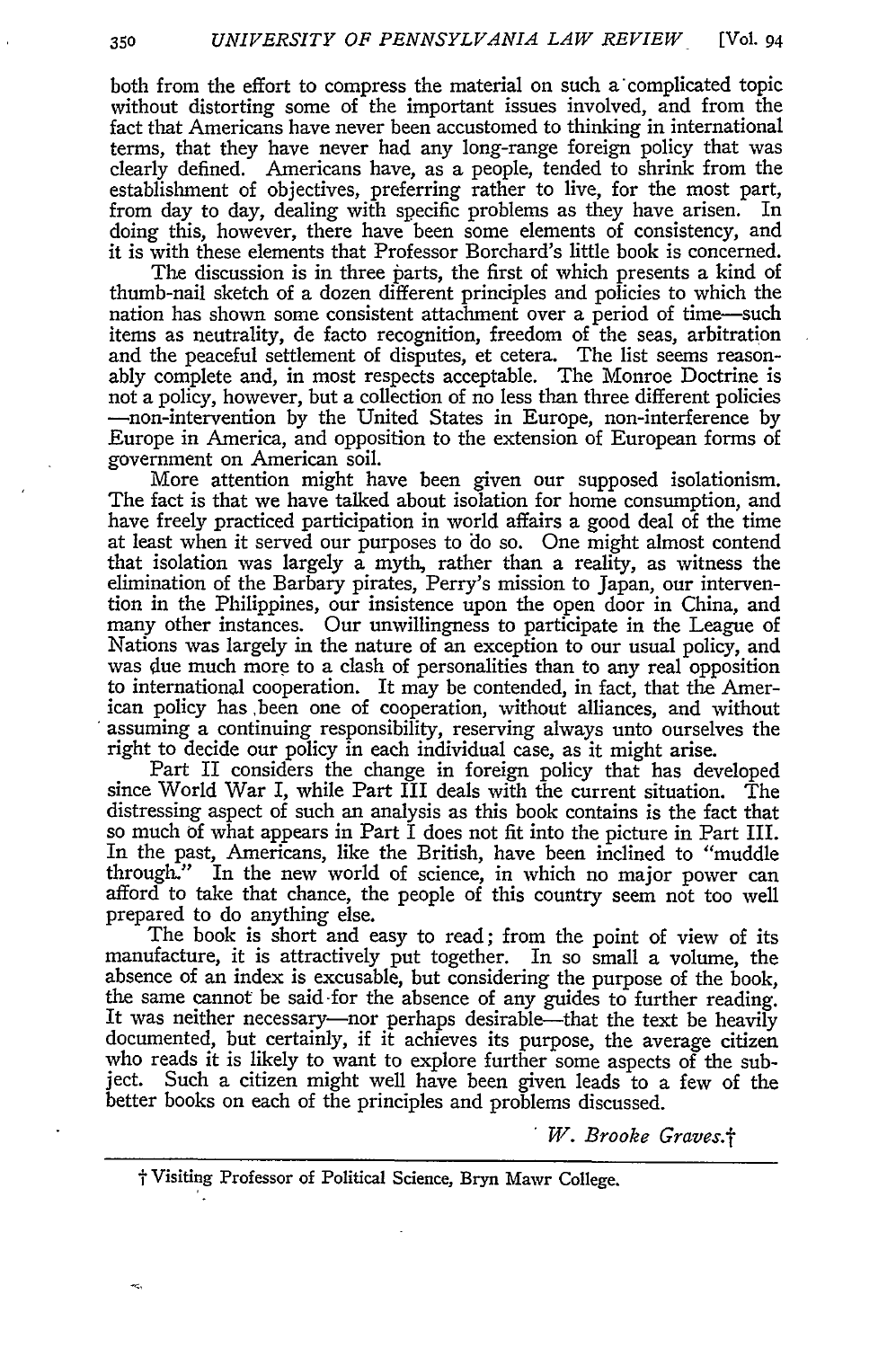both from the effort to compress the material on such a'complicated topic without distorting some of the important issues involved, and from the fact that Americans have never been accustomed to thinking in international terms, that they have never had any long-range foreign policy that was clearly defined. Americans have, as a people, tended to shrink from the establishment of objectives, preferring rather to live, for the most part, from day to day, dealing with specific problems as they have arisen. In doing this, however, there have been some elements of consistency, and it is with these elements that Professor Borchard's little book is concerned.

The discussion is in three parts, the first of which presents a kind of thumb-nail sketch of a dozen different principles and policies to which the nation has shown some consistent attachment over a period of time-such items as neutrality, de facto recognition, freedom of the seas, arbitration and the peaceful settlement of disputes, et cetera. The list seems reasonably complete and, in most respects acceptable. The Monroe Doctrine is not a policy, however, but a collection of no less than three different policies -non-intervention by the United States in Europe, non-interference by Europe in America, and opposition to the extension of European forms of government on American soil.

More attention might have been given our supposed isolationism. The fact is that we have talked about isolation for home consumption, and have freely practiced participation in world affairs a good deal of the time at least when it served our purposes to do so. One might almost contend that isolation was largely a myth, rather than a reality, as witness the elimination of the Barbary pirates, Perry's mission to Japan, our intervention in the Philippines, our insistence upon the open door in China, and many other instances. Our unwillingness to participate in the League of Nations was largely in the nature of an exception to our usual policy, and was due much more to a clash of personalities than to any real opposition to international cooperation. It may be contended, in fact, that the American policy has been one of cooperation, without alliances, and without assuming a continuing responsibility, reserving always unto ourselves the right to decide our policy in each individual case, as it might arise.

Part II considers the change in foreign policy that has developed since World War I, while Part III deals with the current situation. The distressing aspect of such an analysis as this book contains is the fact that so much of what appears in Part I does not fit into the picture in Part III. In the past, Americans, like the British, have been inclined to "muddle through." In the new world of science, in which no major power can afford to take that chance, the people of this country seem not too well prepared to do anything else.

The book is short and easy to read; from the point of view of its manufacture, it is attractively put together. In so small a volume, the absence of an index is excusable, but considering the purpose of the book, the same cannot be said for the absence of any guides to further reading. It was neither necessary-nor perhaps desirable-that the text be heavily documented, but certainly, if it achieves its purpose, the average citizen who reads it is likely to want to explore further some aspects of the subject. Such a citizen might well have been given leads to a few of the better books on each of the principles and problems discussed.

*W. Brooke Graves.t*

٠c,

t Visiting Professor of Political Science, Bryn Mawr College.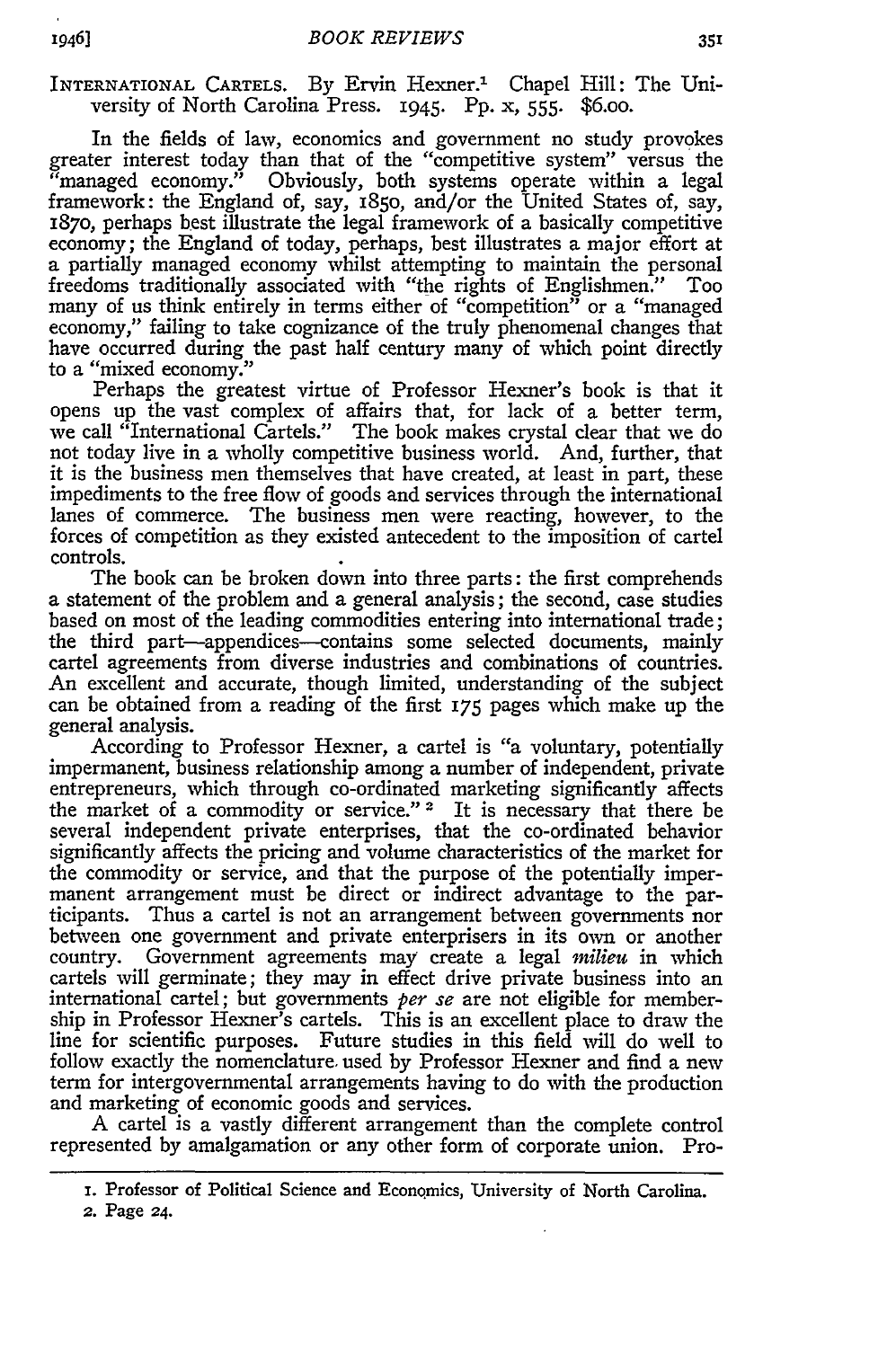INTERNATIONAL CARTELS. By Ervin Hexner.1 Chapel Hill: The University of North Carolina Press. 1945. Pp. x, 555. \$6.oo.

In the fields of law, economics and government no study provokes greater interest today than that of the "competitive system" versus the "managed economy." Obviously, both systems operate within a legal framework: the England of, say, 185o, and/or the United States of, say, i87o, perhaps best illustrate the legal framework of a basically competitive economy; the England of today, perhaps, best illustrates a major effort at a partially managed economy whilst attempting to maintain the personal freedoms traditionally associated with "the rights of Englishmen." Too many of us think entirely in terms either of "competition" or a "managed economy," failing to take cognizance of the truly phenomenal changes that have occurred during the past half century many of which point directly to a "mixed economy."

Perhaps the greatest virtue of Professor Hexner's book is that it opens up the vast complex of affairs that, for lack of a better term, we call "International Cartels." The book makes crystal clear that we do not today live in a wholly competitive business world. And, further, that it is the business men themselves that have created, at least in part, these impediments to the free flow of goods and services through the international lanes of commerce. The business men were reacting, however, to the forces of competition as they existed antecedent to the imposition of cartel controls.

The book can be broken down into three parts: the first comprehends a statement of the problem and a general analysis; the second, case studies based on most of the leading commodities entering into international trade; the third part-appendices--contains some selected documents, mainly cartel agreements from diverse industries and combinations of countries. An excellent and accurate, though limited, understanding of the subject can be obtained from a reading of the first **175** pages which make up the general analysis.

According to Professor Hexner, a cartel is "a voluntary, potentially impermanent, business relationship among a number of independent, private entrepreneurs, which through co-ordinated marketing significantly affects the market of a commodity or service."<sup>2</sup> It is necessary that there be several independent private enterprises, that the co-ordinated behavior significantly affects the pricing and volume characteristics of the market for the commodity or service, and that the purpose of the potentially impermanent arrangement must be direct or indirect advantage to the participants. Thus a cartel is not an arrangement between governments nor between one government and private enterprisers in its own or another country. Government agreements may create a legal *milieu* in which cartels will germinate; they may in effect drive private business into an international cartel; but governments *per se* are not eligible for membership in Professor Hexner's cartels. This is an excellent place to draw the line for scientific purposes. Future studies in this field will do well to follow exactly the nomenclature, used by Professor Hexner and find a new term for intergovernmental arrangements having to do with the production and marketing of economic goods and services.

A cartel is a vastly different arrangement than the complete control represented by amalgamation or any other form of corporate union. Pro-

**i.** Professor of Political Science and Economics, University of North Carolina.

<sup>2.</sup> Page 24.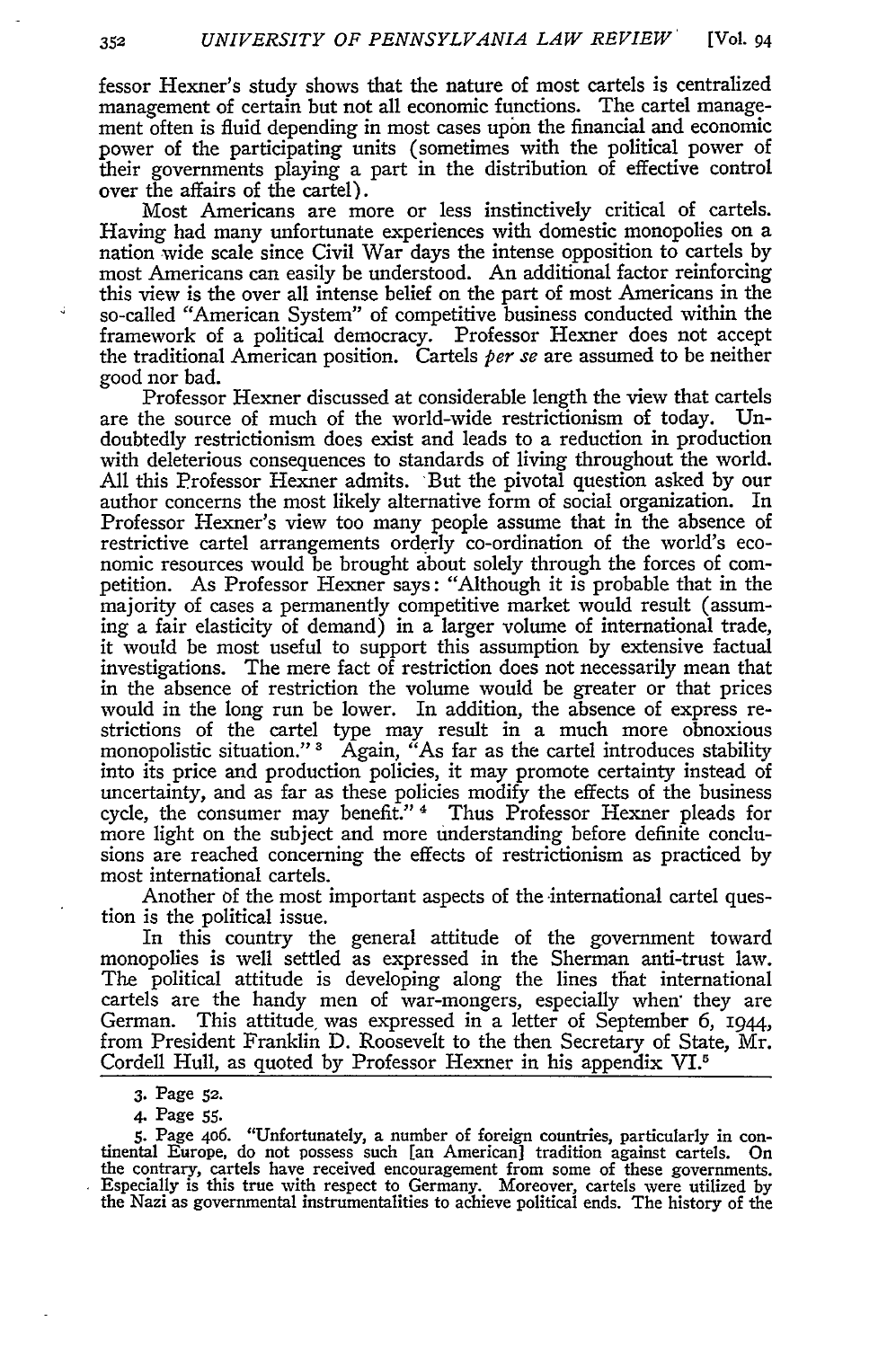fessor Hexner's study shows that the nature of most cartels is centralized management of certain but not all economic functions. The cartel management often is fluid depending in most cases upon the financial and economic power of the participating units (sometimes with the political power of their governments playing a part in the distribution of effective control over the affairs of the cartel).

Most Americans are more or less instinctively critical of cartels. Having had many unfortunate experiences with domestic monopolies on a nation wide scale since Civil War days the intense opposition to cartels by most Americans can easily be understood. An additional factor reinforcing this view is the over all intense belief on the part of most Americans in the so-called "American System" of competitive business conducted within the framework of a political democracy. Professor Hexner does not accept the traditional American position. Cartels *per se* are assumed to be neither good nor bad.

Professor Hexner discussed at considerable length the view that cartels are the source of much of the world-wide restrictionism of today. Undoubtedly restrictionism does exist and leads to a reduction in production with deleterious consequences to standards of living throughout the world. All this Professor Hexner admits. But the pivotal question asked by our author concerns the most likely alternative form of social organization. In Professor Hexner's view too many people assume that in the absence of restrictive cartel arrangements orderly co-ordination of the world's economic resources would be brought about solely through the forces of competition. As Professor Hexner says: "Although it is probable that in the majority of cases a permanently competitive market would result (assuming a fair elasticity of demand) in a larger volume of international trade, it would be most useful to support this assumption by extensive factual investigations. The mere fact of restriction does not necessarily mean that in the absence of restriction the volume would be greater or that prices would in the long run be lower. In addition, the absence of express restrictions of the cartel type may result in a much more obnoxious monopolistic situation." **3** Again, "As far as the cartel introduces stability into its price and production policies, it may promote certainty instead of uncertainty, and as far as these policies modify the effects of the business cycle, the consumer may benefit." 4 Thus Professor Hexner pleads for more light on the subject and more understanding before definite conclusions are reached concerning the effects of restrictionism as practiced by most international cartels.

Another of the most important aspects of the international cartel question is the political issue.

In this country the general attitude of the government toward monopolies is well settled as expressed in the Sherman anti-trust law. The political attitude is developing along the lines that international cartels are the handy men of war-mongers, especially when they are German. This attitude was expressed in a letter of September 6, 1944, from President Franklin D. Roosevelt to the then Secretary of State, Mr. Cordell Hull, as quoted by Professor Hexner in his appendix VI.5

**3.** Page **52.**

4. Page 55.

**5.** Page 4o6. "Unfortunately, a number of foreign countries, particularly in con- tinental Europe, do not possess such [an American] tradition against cartels. On the contrary, cartels have received encouragement from some of these governments. Especially is this true with respect to Germany. Moreover, cartels were utilized by the Nazi as governmental instrumentalities to achieve political ends. The history of the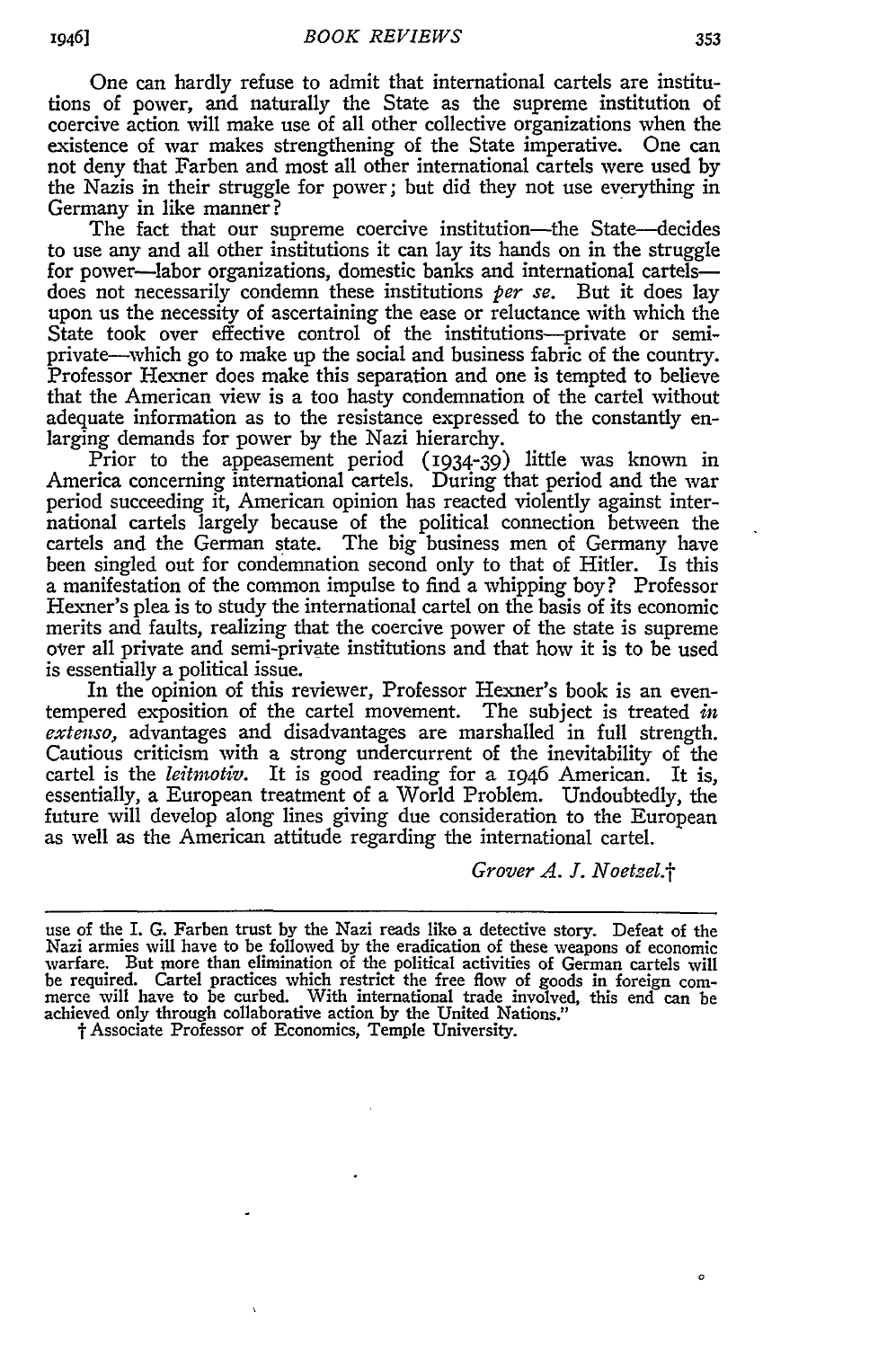One can hardly refuse to admit that international cartels are institutions of power, and naturally the State as the supreme institution of coercive action will make use of all other collective organizations when the existence of war makes strengthening of the State imperative. One can not deny that Farben and most all other international cartels were used by the Nazis in their struggle for power; but did they not use everything in Germany in like manner?

The fact that our supreme coercive institution—the State—decides to use any and all other institutions it can lay its hands on in the struggle for power-labor organizations, domestic banks and international cartelsdoes not necessarily condemn these institutions *per se.* But it does lay upon us the necessity of ascertaining the ease or reluctance with which the State took over effective control of the institutions-private or semiprivate-which go to make up the social and business fabric of the country. Professor Hexner does make this separation and one is tempted to believe that the American view is a too hasty condemnation of the cartel without adequate information as to the resistance expressed to the constantly enlarging demands for power by the Nazi hierarchy.

Prior to the appeasement period (1934-39) little was known in America concerning international cartels. During that period and the war period succeeding it, American opinion has reacted violently against international cartels largely because of the political connection between the cartels and the German state. The big business men of Germany have been singled out for condemnation second only to that of Hitler. Is this a manifestation of the common impulse to find a whipping boy? Professor Hexner's plea is to study the international cartel on the basis of its economic merits and faults, realizing that the coercive power of the state is supreme over all private and semi-private institutions and that how it is to be used is essentially a political issue.

In the opinion of this reviewer, Professor Hexner's book is an eventempered exposition of the cartel movement. The subject is treated *in extenso,* advantages and disadvantages are marshalled in full strength. Cautious criticism with a strong undercurrent of the inevitability of the cartel is the *leitmotiv.* It is good reading for a 1946 American. It is, essentially, a European treatment of a World Problem. Undoubtedly, the future will develop along lines giving due consideration to the European as well as the American attitude regarding the international cartel.

*Grover A. I. Noetzel.t*

 $\circ$ 

use of the I. G. Farben trust by the Nazi reads like a detective story. Defeat of the Nazi armies will have to be followed by the eradication of these weapons of economic warfare. But more than elimination of the political activities of German cartels will be required. Cartel practices which restrict the free flow of goods in foreign com- merce will have to be curbed. With international trade involved, this end can be achieved only through collaborative action by the United Nations." t Associate Professor of Economics, Temple University.